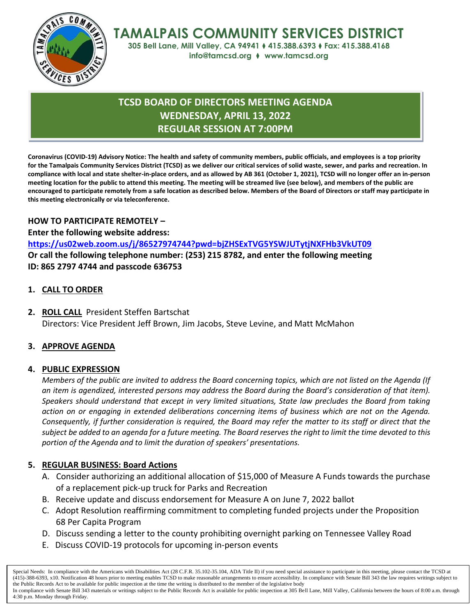

**TAMALPAIS COMMUNITY SERVICES DISTRICT**

**305 Bell Lane, Mill Valley, CA 94941** ⧫ **415.388.6393** ⧫ **Fax: 415.388.4168 info@tamcsd.org** ⧫ **www.tamcsd.org**

# **TCSD BOARD OF DIRECTORS MEETING AGENDA WEDNESDAY, APRIL 13, 2022 REGULAR SESSION AT 7:00PM**

**Coronavirus (COVID-19) Advisory Notice: The health and safety of community members, public officials, and employees is a top priority for the Tamalpais Community Services District (TCSD) as we deliver our critical services of solid waste, sewer, and parks and recreation. In compliance with local and state shelter-in-place orders, and as allowed by AB 361 (October 1, 2021), TCSD will no longer offer an in-person meeting location for the public to attend this meeting. The meeting will be streamed live (see below), and members of the public are encouraged to participate remotely from a safe location as described below. Members of the Board of Directors or staff may participate in this meeting electronically or via teleconference.**

## **HOW TO PARTICIPATE REMOTELY –**

**Enter the following website address: <https://us02web.zoom.us/j/86527974744?pwd=bjZHSExTVG5YSWJUTytjNXFHb3VkUT09> Or call the following telephone number: (253) 215 8782, and enter the following meeting ID: 865 2797 4744 and passcode 636753**

## **1. CALL TO ORDER**

**2. ROLL CALL** President Steffen Bartschat Directors: Vice President Jeff Brown, Jim Jacobs, Steve Levine, and Matt McMahon

## **3. APPROVE AGENDA**

## **4. PUBLIC EXPRESSION**

*Members of the public are invited to address the Board concerning topics, which are not listed on the Agenda (If an item is agendized, interested persons may address the Board during the Board's consideration of that item). Speakers should understand that except in very limited situations, State law precludes the Board from taking action on or engaging in extended deliberations concerning items of business which are not on the Agenda. Consequently, if further consideration is required, the Board may refer the matter to its staff or direct that the subject be added to an agenda for a future meeting. The Board reserves the right to limit the time devoted to this portion of the Agenda and to limit the duration of speakers' presentations.*

## **5. REGULAR BUSINESS: Board Actions**

- A. Consider authorizing an additional allocation of \$15,000 of Measure A Funds towards the purchase of a replacement pick-up truck for Parks and Recreation
- B. Receive update and discuss endorsement for Measure A on June 7, 2022 ballot
- C. Adopt Resolution reaffirming commitment to completing funded projects under the Proposition 68 Per Capita Program
- D. Discuss sending a letter to the county prohibiting overnight parking on Tennessee Valley Road
- E. Discuss COVID-19 protocols for upcoming in-person events

Special Needs: In compliance with the Americans with Disabilities Act (28 C.F.R. 35.102-35.104, ADA Title II) if you need special assistance to participate in this meeting, please contact the TCSD at (415)-388-6393, x10. Notification 48 hours prior to meeting enables TCSD to make reasonable arrangements to ensure accessibility. In compliance with Senate Bill 343 the law requires writings subject to the Public Records Act to be available for public inspection at the time the writing is distributed to the member of the legislative body

In compliance with Senate Bill 343 materials or writings subject to the Public Records Act is available for public inspection at 305 Bell Lane, Mill Valley, California between the hours of 8:00 a.m. through 4:30 p.m. Monday through Friday.